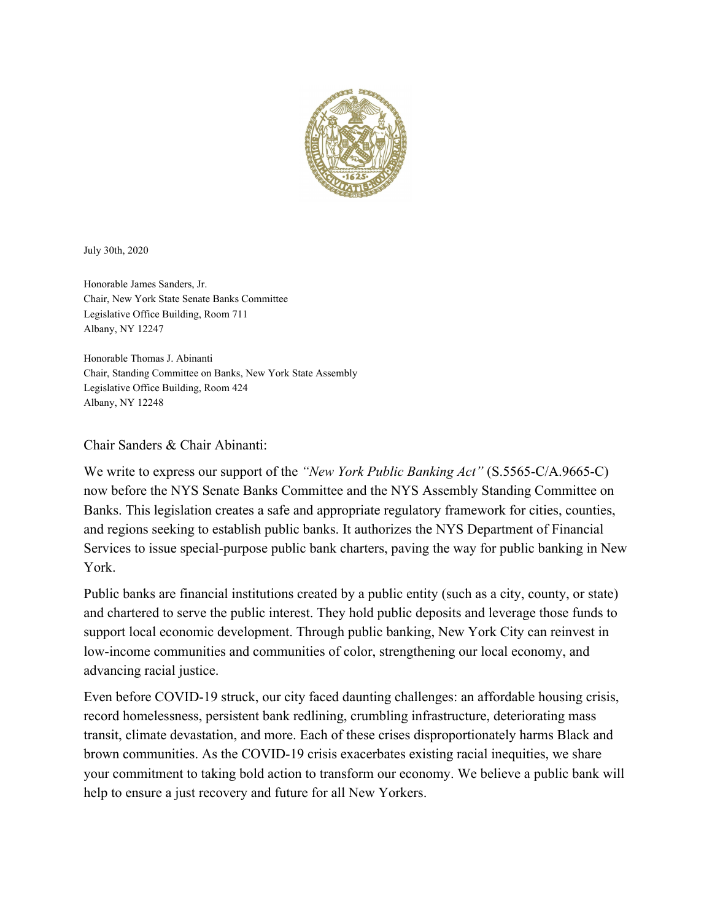

July 30th, 2020

Honorable James Sanders, Jr. Chair, New York State Senate Banks Committee Legislative Office Building, Room 711 Albany, NY 12247

Honorable Thomas J. Abinanti Chair, Standing Committee on Banks, New York State Assembly Legislative Office Building, Room 424 Albany, NY 12248

## Chair Sanders & Chair Abinanti:

We write to express our support of the *"New York Public Banking Act"* (S.5565-C/A.9665-C) now before the NYS Senate Banks Committee and the NYS Assembly Standing Committee on Banks. This legislation creates a safe and appropriate regulatory framework for cities, counties, and regions seeking to establish public banks. It authorizes the NYS Department of Financial Services to issue special-purpose public bank charters, paving the way for public banking in New York.

Public banks are financial institutions created by a public entity (such as a city, county, or state) and chartered to serve the public interest. They hold public deposits and leverage those funds to support local economic development. Through public banking, New York City can reinvest in low-income communities and communities of color, strengthening our local economy, and advancing racial justice.

Even before COVID-19 struck, our city faced daunting challenges: an affordable housing crisis, record homelessness, persistent bank redlining, crumbling infrastructure, deteriorating mass transit, climate devastation, and more. Each of these crises disproportionately harms Black and brown communities. As the COVID-19 crisis exacerbates existing racial inequities, we share your commitment to taking bold action to transform our economy. We believe a public bank will help to ensure a just recovery and future for all New Yorkers.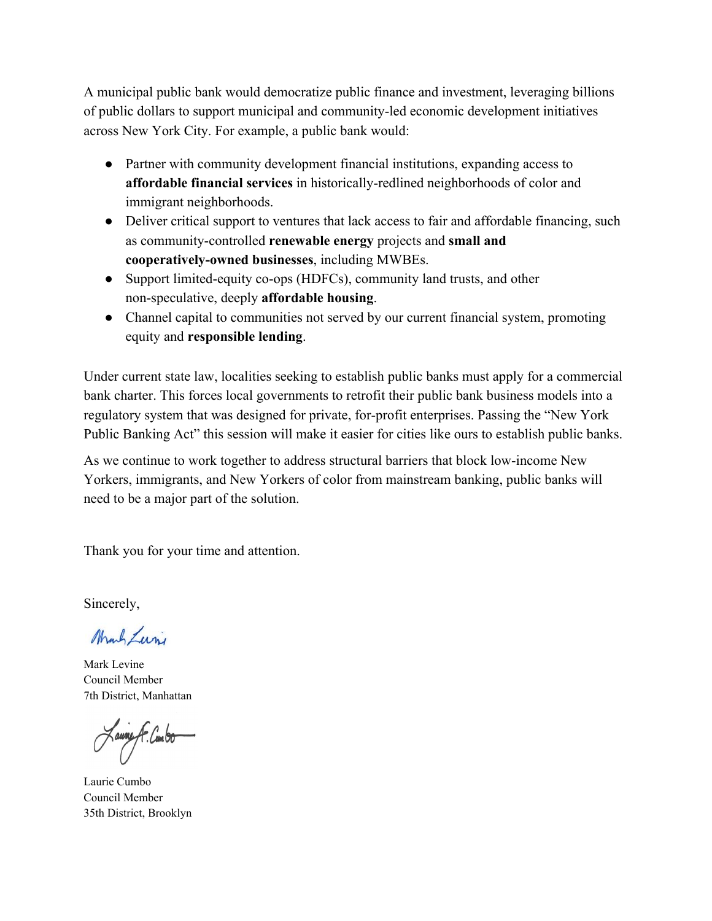A municipal public bank would democratize public finance and investment, leveraging billions of public dollars to support municipal and community-led economic development initiatives across New York City. For example, a public bank would:

- Partner with community development financial institutions, expanding access to **affordable financial services** in historically-redlined neighborhoods of color and immigrant neighborhoods.
- Deliver critical support to ventures that lack access to fair and affordable financing, such as community-controlled **renewable energy** projects and **small and cooperatively-owned businesses**, including MWBEs.
- Support limited-equity co-ops (HDFCs), community land trusts, and other non-speculative, deeply **affordable housing**.
- Channel capital to communities not served by our current financial system, promoting equity and **responsible lending**.

Under current state law, localities seeking to establish public banks must apply for a commercial bank charter. This forces local governments to retrofit their public bank business models into a regulatory system that was designed for private, for-profit enterprises. Passing the "New York Public Banking Act" this session will make it easier for cities like ours to establish public banks.

As we continue to work together to address structural barriers that block low-income New Yorkers, immigrants, and New Yorkers of color from mainstream banking, public banks will need to be a major part of the solution.

Thank you for your time and attention.

Sincerely,

Mark Luni

Mark Levine Council Member 7th District, Manhattan

Laune A. Cumbo

Laurie Cumbo Council Member 35th District, Brooklyn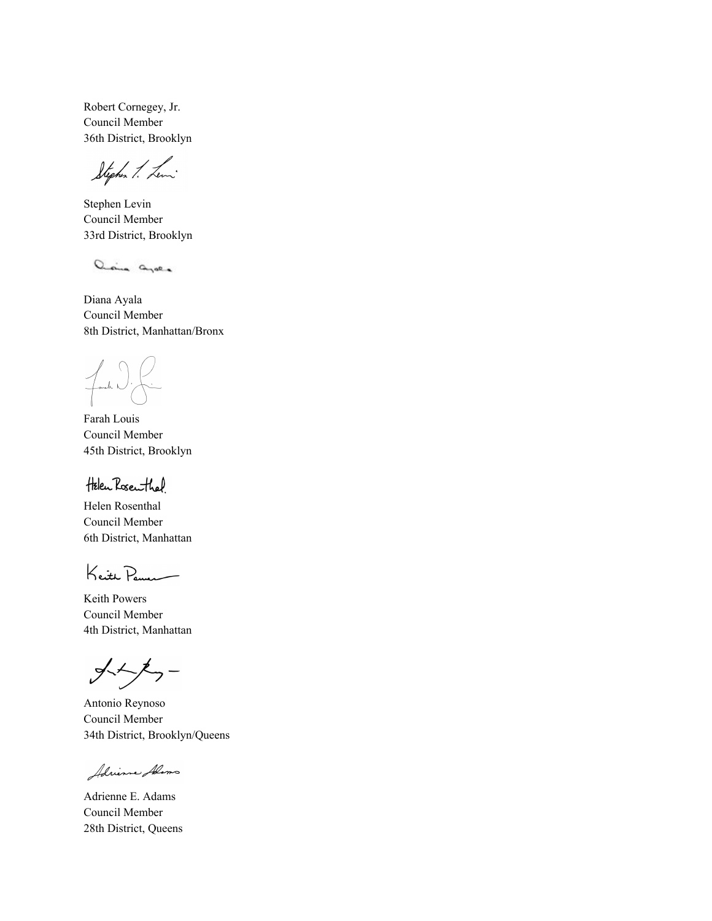Robert Cornegey, Jr. Council Member 36th District, Brooklyn

Stephen 1. Lewi

Stephen Levin Council Member 33rd District, Brooklyn

ania avec

Diana Ayala Council Member 8th District, Manhattan/Bronx

Fanch K

Farah Louis Council Member 45th District, Brooklyn

Helen Rosenthal

Helen Rosenthal Council Member 6th District, Manhattan

Keith Penna

Keith Powers Council Member 4th District, Manhattan

 $\frac{1}{2}$ 

Antonio Reynoso Council Member 34th District, Brooklyn/Queens

Adrience Alima

Adrienne E. Adams Council Member 28th District, Queens